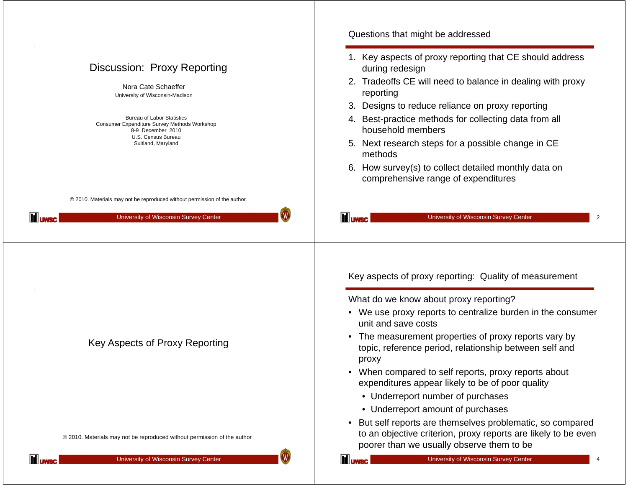|                                                                                                                                                                                                                                             | Questions that might be addressed                                                                                                                                                                                                                                                                                                                                                                                                                        |  |  |
|---------------------------------------------------------------------------------------------------------------------------------------------------------------------------------------------------------------------------------------------|----------------------------------------------------------------------------------------------------------------------------------------------------------------------------------------------------------------------------------------------------------------------------------------------------------------------------------------------------------------------------------------------------------------------------------------------------------|--|--|
| Discussion: Proxy Reporting<br>Nora Cate Schaeffer<br>University of Wisconsin-Madison<br><b>Bureau of Labor Statistics</b><br>Consumer Expenditure Survey Methods Workshop<br>8-9 December 2010<br>U.S. Census Bureau<br>Suitland, Maryland | 1. Key aspects of proxy reporting that CE should address<br>during redesign<br>2. Tradeoffs CE will need to balance in dealing with proxy<br>reporting<br>3. Designs to reduce reliance on proxy reporting<br>4. Best-practice methods for collecting data from all<br>household members<br>5. Next research steps for a possible change in CE<br>methods<br>6. How survey(s) to collect detailed monthly data on<br>comprehensive range of expenditures |  |  |
| © 2010. Materials may not be reproduced without permission of the author.<br>W<br><b>III</b> uwsc<br>University of Wisconsin Survey Center                                                                                                  | <b>III</b> UWSC<br>University of Wisconsin Survey Center                                                                                                                                                                                                                                                                                                                                                                                                 |  |  |
|                                                                                                                                                                                                                                             | Key aspects of proxy reporting: Quality of measurement<br>What do we know about proxy reporting?                                                                                                                                                                                                                                                                                                                                                         |  |  |
|                                                                                                                                                                                                                                             | • We use proxy reports to centralize burden in the consumer<br>unit and save costs                                                                                                                                                                                                                                                                                                                                                                       |  |  |
| Key Aspects of Proxy Reporting                                                                                                                                                                                                              | The measurement properties of proxy reports vary by<br>$\bullet$<br>topic, reference period, relationship between self and<br>proxy                                                                                                                                                                                                                                                                                                                      |  |  |
|                                                                                                                                                                                                                                             | • When compared to self reports, proxy reports about<br>expenditures appear likely to be of poor quality                                                                                                                                                                                                                                                                                                                                                 |  |  |
|                                                                                                                                                                                                                                             | • Underreport number of purchases                                                                                                                                                                                                                                                                                                                                                                                                                        |  |  |
|                                                                                                                                                                                                                                             | • Underreport amount of purchases                                                                                                                                                                                                                                                                                                                                                                                                                        |  |  |
|                                                                                                                                                                                                                                             |                                                                                                                                                                                                                                                                                                                                                                                                                                                          |  |  |
| © 2010. Materials may not be reproduced without permission of the author                                                                                                                                                                    | But self reports are themselves problematic, so compared<br>$\bullet$<br>to an objective criterion, proxy reports are likely to be even<br>poorer than we usually observe them to be                                                                                                                                                                                                                                                                     |  |  |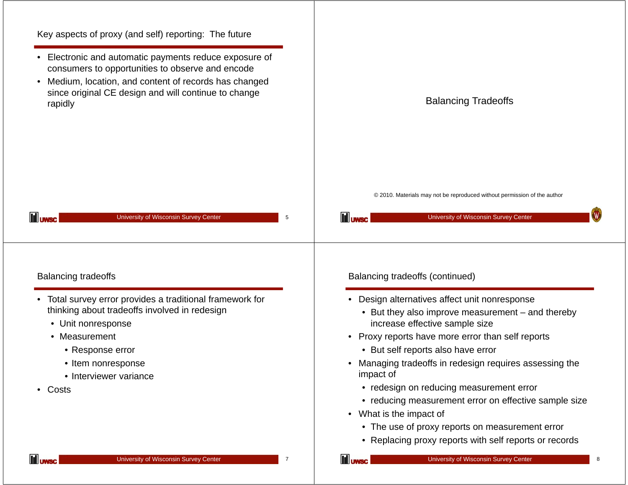| Electronic and automatic payments reduce exposure of<br>consumers to opportunities to observe and encode<br>Medium, location, and content of records has changed<br>$\bullet$<br>since original CE design and will continue to change<br>rapidly | <b>Balancing Tradeoffs</b>                                                                                                                 |
|--------------------------------------------------------------------------------------------------------------------------------------------------------------------------------------------------------------------------------------------------|--------------------------------------------------------------------------------------------------------------------------------------------|
| <b>III</b> UWSC<br>University of Wisconsin Survey Center<br>5                                                                                                                                                                                    | © 2010. Materials may not be reproduced without permission of the author<br>W.<br><b>III</b> UWSC<br>University of Wisconsin Survey Center |
| <b>Balancing tradeoffs</b>                                                                                                                                                                                                                       | Balancing tradeoffs (continued)                                                                                                            |
|                                                                                                                                                                                                                                                  |                                                                                                                                            |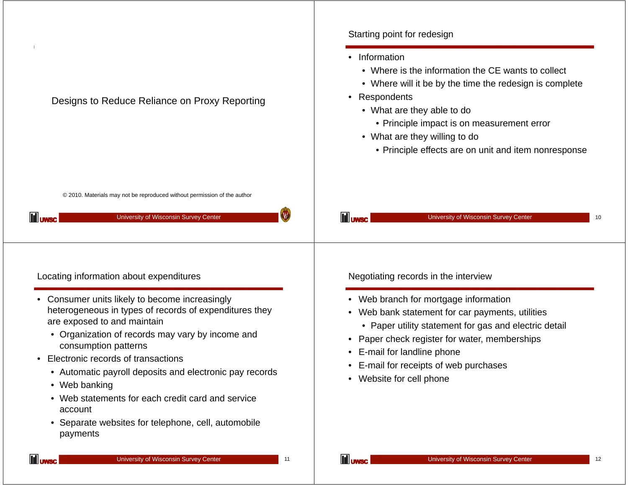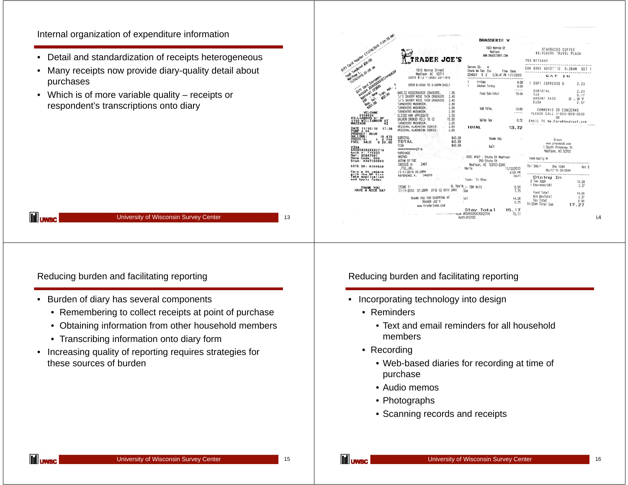## Internal organization of expenditure information

- Detail and standardization of receipts heterogeneous
- $\bullet$  Many receipts now provide diary-quality detail about purchases
- Which is of more variable quality receipts or respondent's transcriptions onto diary

|                                                                                                                                   |                                                                                                                                                       | <b>BRASSERIE V</b>                                                                                             |                                                                         |
|-----------------------------------------------------------------------------------------------------------------------------------|-------------------------------------------------------------------------------------------------------------------------------------------------------|----------------------------------------------------------------------------------------------------------------|-------------------------------------------------------------------------|
| Gift one women clickhold r.24.19 av                                                                                               | RADER JOE'S                                                                                                                                           | 1923 Monroe St<br>Madison<br><b>WWW.BRASSTEREV.COM</b>                                                         | STARBUCKS COFFEE<br>BELVEDERE TRAVEL PLAZA                              |
|                                                                                                                                   |                                                                                                                                                       |                                                                                                                | 793 BETHANY<br>----                                                     |
| Seal Instance \$30.00                                                                                                             | 1810 Monroe Street<br>Madison MI 53711<br>Store #712 - (608) 257-1916                                                                                 | Server ID:<br>$\ddot{\phantom{a}}$<br>Check No Tab Cov<br>Time Date<br>5 2<br>22443/1<br>5:34:47 PM 11/11/2010 | CHK 6004 NOV27'10<br>9:26AN<br>EAT IN                                   |
| Gift Card Increased                                                                                                               | OPEN 8:00AM TO 9:00PM DAILY                                                                                                                           | <br>Frites<br>4.00<br>Smoked Turkey<br>9.00                                                                    | DOPI ESPRESSO D<br>2.20                                                 |
| <b>Protection Protection Care Report</b><br>Elg., Nate Tran.<br>201.88<br><b>Best</b>                                             | GARLIC WISECRACKER CRACKERS<br>1.99<br>TJ'S SAVORY MINI THIN CRACKERS<br>2.49<br>TJ'S SAVORY MINI THIN CRACKERS<br>2.49<br>2.99<br>TURNOVERS MUSHROOM | ------<br>Food Sub-Total<br>13.00                                                                              | SUBTOTAL<br>2.20<br>TAX<br>0.17<br>AMOUNT PAID<br>2.37<br>CASH<br>2.37  |
| VELCOME<br>6356828                                                                                                                | TURNOVERS MUSHROOM<br>2.99<br>2.99<br>TURNOVERS MUSHROOM<br>3.59<br>SLICED HAM APPLEGATE                                                              | SUB TOTAL<br>13.00<br>------                                                                                   | COMMENTS OR CONCERNS<br>PLEASE CALL 1-800-859-0558                      |
| VILLIAMSON ST BP<br>1130 VILLIAMSON ST<br>MADISON                                                                                 | 15.99<br>SALMON SMOKED WILD 16 0Z<br>TURNOVERS MUSHROOM<br>2.99                                                                                       | Sales Tax<br>0.72                                                                                              | 0R<br>EMAIL TO Me.Care@hmshost.com                                      |
| DATE 11/30/10<br>PUMP # 06<br>17:36                                                                                               | ORIGINAL ALMONDINA COOKIE.<br>2.69<br>ORIGINAL ALMONDINA COOKIE.<br>2.69                                                                              | <b>TUTAL</b><br>13.72                                                                                          |                                                                         |
| PRODUCT: BLUE<br>GALLONS:<br>10.475<br>PRICE/G:<br>$\frac{2.759}{28.90}$<br>s<br><b>FUEL</b><br>SALE<br>VISA<br>XXXXXXXXXXXXX2714 | SUBTOTAL<br>\$43.89<br>TOTAL<br>\$43,89<br>VISA<br>\$43.89<br>*************2714<br>PURCHASE                                                           | THANK YOU<br>Kali                                                                                              | Graze<br>www.grazecub.com<br>1 South Pinckney St<br>Mad1son, MI 53703   |
| Auth #: 71035C<br>Ref: 5C807007<br>Resp Code: 000<br>Stan: 0367350993                                                             | SWIPED<br>AUTH# 91118C                                                                                                                                | COSI #167 - State St Madison<br>250 State St                                                                   | 1044 Kelly M                                                            |
| SITE ID: 6356828                                                                                                                  | INVOICE #:<br>2487<br>.71200.<br>11-11-2010 05:28PM                                                                                                   | Madison, WI 53703-2240<br>Merle<br>11/12/2010<br>6:00 PM                                                       | Tb1 306/1<br>Chk 1344<br>Gst 2<br>Nov13'10 09:52AM                      |
| Earn a 5% rebate<br>with the BP Visa<br>Take application<br>and Apply Today                                                       | 946878<br>REFERENCE #:                                                                                                                                | 10017<br>Type: To Stay                                                                                         | <br>Dining In<br>2 Two Eggs<br>14.00                                    |
| THANK YOU<br>HAVE A NICE DAY                                                                                                      | ITEMS 11<br>11-11-2010 07:28PM 0712 02 0010 2467                                                                                                      | H. Kayla <sub>, L-</sub> TBM Melt<br>6.59<br>Duo<br>7.79                                                       | 1 Espresso-Db1<br>2.37<br>Food Total<br>14.00                           |
|                                                                                                                                   | THANK YOU FOR SHOPPING AT<br>TRADER JDE'S<br>www.traderices.com                                                                                       | tal<br>14.38<br>0.79                                                                                           | N/A BevTotal<br>2.37<br>Tax Total<br>0.90<br>10:22AM Total Due<br>17.27 |
|                                                                                                                                   |                                                                                                                                                       | Stay Total<br>15.17<br>vion #XXXXXXXXXXXXXXXXXXX<br>15.17<br>Auth:81210C                                       |                                                                         |

Reducing burden and facilitating reporting

**III** uwsc

- Burden of diary has several components
	- Remembering to collect receipts at point of purchase

University of Wisconsin Survey Center

- Obtaining information from other household members
- Transcribing information onto diary form
- Increasing quality of reporting requires strategies for these sources of burden

Reducing burden and facilitating reporting

- Incorporating technology into design
	- Reminders
		- Text and email reminders for all household members
	- Recording
		- Web-based diaries for recording at time of purchase
		- Audio memos
		- Photographs
		- Scanning records and receipts

13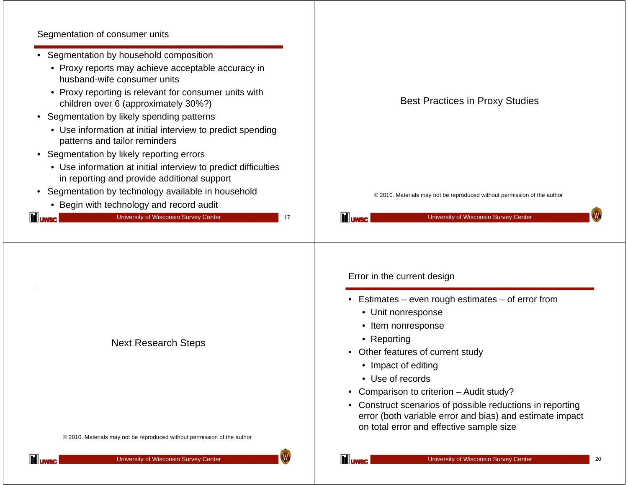## Segmentation of consumer units

| Segmentation of consumer units                                                                                                                                                                                                                                                                                                                                                                                                 |                                                                                                                                                                                                                                                                                                                                                                                                          |
|--------------------------------------------------------------------------------------------------------------------------------------------------------------------------------------------------------------------------------------------------------------------------------------------------------------------------------------------------------------------------------------------------------------------------------|----------------------------------------------------------------------------------------------------------------------------------------------------------------------------------------------------------------------------------------------------------------------------------------------------------------------------------------------------------------------------------------------------------|
| • Segmentation by household composition<br>• Proxy reports may achieve acceptable accuracy in<br>husband-wife consumer units<br>• Proxy reporting is relevant for consumer units with<br>children over 6 (approximately 30%?)<br>• Segmentation by likely spending patterns                                                                                                                                                    | <b>Best Practices in Proxy Studies</b>                                                                                                                                                                                                                                                                                                                                                                   |
| • Use information at initial interview to predict spending<br>patterns and tailor reminders<br>• Segmentation by likely reporting errors<br>• Use information at initial interview to predict difficulties<br>in reporting and provide additional support<br>• Segmentation by technology available in household<br>• Begin with technology and record audit<br>University of Wisconsin Survey Center<br><b>III</b> uwsc<br>17 | © 2010. Materials may not be reproduced without permission of the author<br><b>III</b> uwsc<br>University of Wisconsin Survey Center                                                                                                                                                                                                                                                                     |
|                                                                                                                                                                                                                                                                                                                                                                                                                                | Error in the current design                                                                                                                                                                                                                                                                                                                                                                              |
| <b>Next Research Steps</b>                                                                                                                                                                                                                                                                                                                                                                                                     | • Estimates – even rough estimates – of error from<br>• Unit nonresponse<br>• Item nonresponse<br>• Reporting<br>Other features of current study<br>• Impact of editing<br>• Use of records<br>Comparison to criterion - Audit study?<br>Construct scenarios of possible reductions in reporting<br>error (both variable error and bias) and estimate impact<br>on total error and effective sample size |
| © 2010. Materials may not be reproduced without permission of the author                                                                                                                                                                                                                                                                                                                                                       |                                                                                                                                                                                                                                                                                                                                                                                                          |

10

**III** uwsc

18